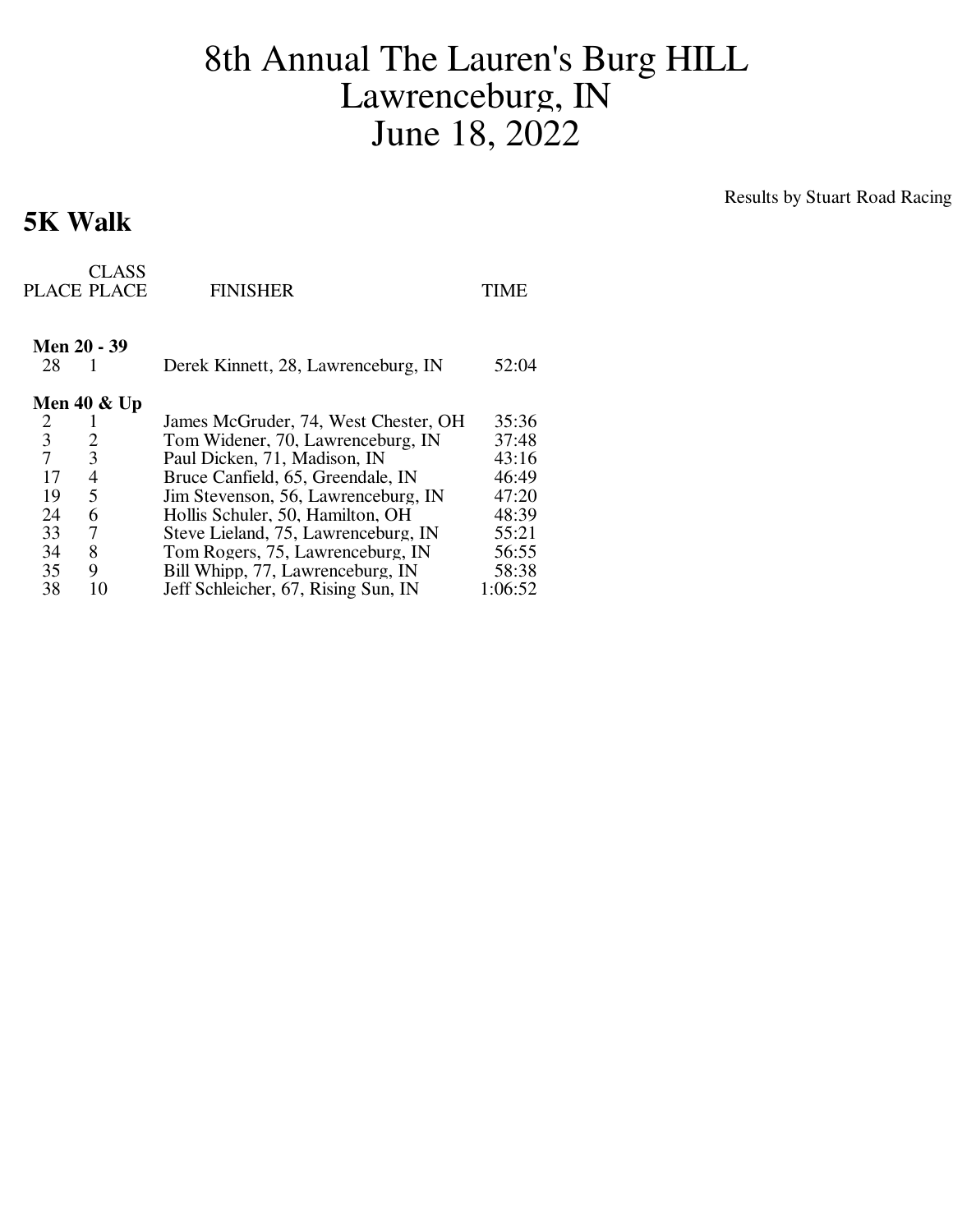## 8th Annual The Lauren's Burg HILL Lawrenceburg, IN June 18, 2022

## **5K Walk**

Results by Stuart Road Racing

|                | CLASS<br>PLACE PLACE | <b>FINISHER</b>                      | TIME    |
|----------------|----------------------|--------------------------------------|---------|
| 28             | <b>Men 20 - 39</b>   | Derek Kinnett, 28, Lawrenceburg, IN  | 52:04   |
| Men 40 $\&$ Up |                      |                                      |         |
| 2              |                      | James McGruder, 74, West Chester, OH | 35:36   |
| 3              | 2                    | Tom Widener, 70, Lawrenceburg, IN    | 37:48   |
| 7              | 3                    | Paul Dicken, 71, Madison, IN         | 43:16   |
| 17             | 4                    | Bruce Canfield, 65, Greendale, IN    | 46:49   |
| 19             | 5                    | Jim Stevenson, 56, Lawrenceburg, IN  | 47:20   |
| 24             | 6                    | Hollis Schuler, 50, Hamilton, OH     | 48:39   |
| 33             | 7                    | Steve Lieland, 75, Lawrenceburg, IN  | 55:21   |
| 34             | 8                    | Tom Rogers, 75, Lawrenceburg, IN     | 56:55   |
| 35             | 9                    | Bill Whipp, 77, Lawrenceburg, IN     | 58:38   |
| 38             | 10                   | Jeff Schleicher, 67, Rising Sun, IN  | 1:06:52 |